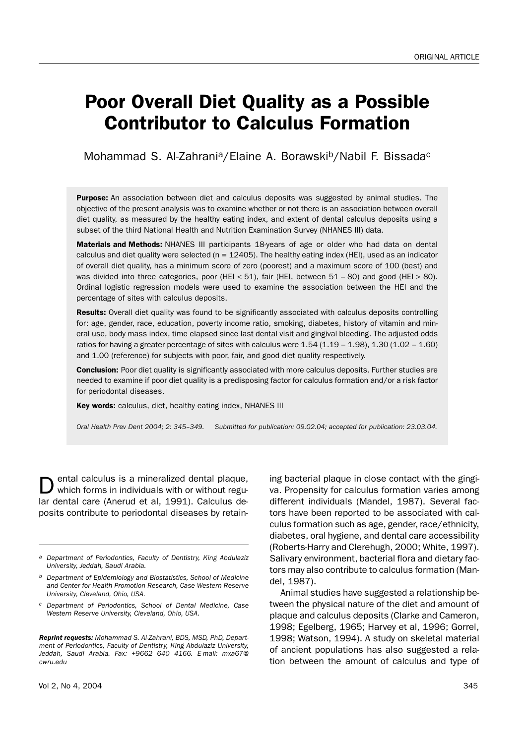## Poor Overall Diet Quality as a Possible Contributor to Calculus Formation

Mohammad S. Al-Zahrani<sup>a</sup>/Elaine A. Borawski<sup>b</sup>/Nabil F. Bissada<sup>c</sup>

Purpose: An association between diet and calculus deposits was suggested by animal studies. The objective of the present analysis was to examine whether or not there is an association between overall diet quality, as measured by the healthy eating index, and extent of dental calculus deposits using a subset of the third National Health and Nutrition Examination Survey (NHANES III) data.

**Materials and Methods:** NHANES III participants 18-years of age or older who had data on dental calculus and diet quality were selected ( $n = 12405$ ). The healthy eating index (HEI), used as an indicator of overall diet quality, has a minimum score of zero (poorest) and a maximum score of 100 (best) and was divided into three categories, poor (HEI < 51), fair (HEI, between  $51 - 80$ ) and good (HEI > 80). Ordinal logistic regression models were used to examine the association between the HEI and the percentage of sites with calculus deposits.

**Results:** Overall diet quality was found to be significantly associated with calculus deposits controlling for: age, gender, race, education, poverty income ratio, smoking, diabetes, history of vitamin and mineral use, body mass index, time elapsed since last dental visit and gingival bleeding. The adjusted odds ratios for having a greater percentage of sites with calculus were  $1.54$  ( $1.19$  –  $1.98$ ),  $1.30$  ( $1.02$  –  $1.60$ ) and 1.00 (reference) for subjects with poor, fair, and good diet quality respectively.

**Conclusion:** Poor diet quality is significantly associated with more calculus deposits. Further studies are needed to examine if poor diet quality is a predisposing factor for calculus formation and/or a risk factor for periodontal diseases.

Key words: calculus, diet, healthy eating index, NHANES III

*Oral Health Prev Dent 2004; 2: 345–349. Submitted for publication: 09.02.04; accepted for publication: 23.03.04.*

ental calculus is a mineralized dental plaque, which forms in individuals with or without regular dental care (Anerud et al, 1991). Calculus deposits contribute to periodontal diseases by retain-

*Reprint requests: Mohammad S. Al-Zahrani, BDS, MSD, PhD, Department of Periodontics, Faculty of Dentistry, King Abdulaziz University, Jeddah, Saudi Arabia. Fax: +9662 640 4166. E-mail: mxa67@ cwru.edu*

Vol 2, No 4, 2004 345

ing bacterial plaque in close contact with the gingiva. Propensity for calculus formation varies among different individuals (Mandel, 1987). Several factors have been reported to be associated with calculus formation such as age, gender, race/ethnicity, diabetes, oral hygiene, and dental care accessibility (Roberts-Harry and Clerehugh, 2000; White, 1997). Salivary environment, bacterial flora and dietary factors may also contribute to calculus formation (Mandel, 1987).

Animal studies have suggested a relationship between the physical nature of the diet and amount of plaque and calculus deposits (Clarke and Cameron, 1998; Egelberg, 1965; Harvey et al, 1996; Gorrel, 1998; Watson, 1994). A study on skeletal material of ancient populations has also suggested a relation between the amount of calculus and type of

*a Department of Periodontics, Faculty of Dentistry, King Abdulaziz University, Jeddah, Saudi Arabia.*

*b Department of Epidemiology and Biostatistics, School of Medicine and Center for Health Promotion Research, Case Western Reserve University, Cleveland, Ohio, USA.*

*c Department of Periodontics, School of Dental Medicine, Case Western Reserve University, Cleveland, Ohio, USA.*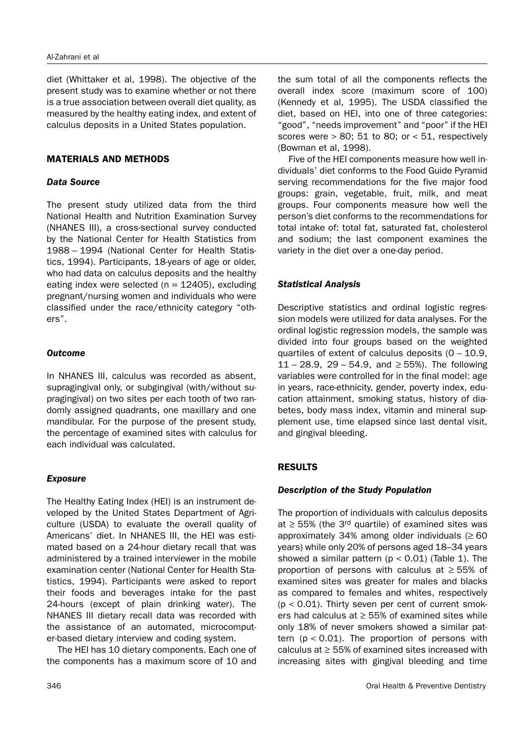diet (Whittaker et al, 1998). The objective of the present study was to examine whether or not there is a true association between overall diet quality, as measured by the healthy eating index, and extent of calculus deposits in a United States population.

### MATERIALS AND METHODS

#### *Data Source*

The present study utilized data from the third National Health and Nutrition Examination Survey (NHANES III), a cross-sectional survey conducted by the National Center for Health Statistics from 1988 – 1994 (National Center for Health Statistics, 1994). Participants, 18-years of age or older, who had data on calculus deposits and the healthy eating index were selected ( $n = 12405$ ), excluding pregnant/nursing women and individuals who were classified under the race/ethnicity category "others".

### *Outcome*

In NHANES III, calculus was recorded as absent, supragingival only, or subgingival (with/without supragingival) on two sites per each tooth of two randomly assigned quadrants, one maxillary and one mandibular. For the purpose of the present study, the percentage of examined sites with calculus for each individual was calculated.

## *Exposure*

The Healthy Eating Index (HEI) is an instrument developed by the United States Department of Agriculture (USDA) to evaluate the overall quality of Americans' diet. In NHANES III, the HEI was estimated based on a 24-hour dietary recall that was administered by a trained interviewer in the mobile examination center (National Center for Health Statistics, 1994). Participants were asked to report their foods and beverages intake for the past 24-hours (except of plain drinking water). The NHANES III dietary recall data was recorded with the assistance of an automated, microcomputer-based dietary interview and coding system.

The HEI has 10 dietary components. Each one of the components has a maximum score of 10 and the sum total of all the components reflects the overall index score (maximum score of 100) (Kennedy et al, 1995). The USDA classified the diet, based on HEI, into one of three categories: "good", "needs improvement" and "poor" if the HEI scores were  $> 80$ ; 51 to 80; or  $< 51$ , respectively (Bowman et al, 1998).

Five of the HEI components measure how well individuals' diet conforms to the Food Guide Pyramid serving recommendations for the five major food groups: grain, vegetable, fruit, milk, and meat groups. Four components measure how well the person's diet conforms to the recommendations for total intake of: total fat, saturated fat, cholesterol and sodium; the last component examines the variety in the diet over a one-day period.

### *Statistical Analysis*

Descriptive statistics and ordinal logistic regression models were utilized for data analyses. For the ordinal logistic regression models, the sample was divided into four groups based on the weighted quartiles of extent of calculus deposits  $(0 - 10.9)$ , 11 – 28.9, 29 – 54.9, and ≥ 55%). The following variables were controlled for in the final model: age in years, race-ethnicity, gender, poverty index, education attainment, smoking status, history of diabetes, body mass index, vitamin and mineral supplement use, time elapsed since last dental visit, and gingival bleeding.

## RESULTS

## *Description of the Study Population*

The proportion of individuals with calculus deposits at  $\geq$  55% (the 3<sup>rd</sup> quartile) of examined sites was approximately 34% among older individuals  $(≥ 60$ years) while only 20% of persons aged 18–34 years showed a similar pattern  $(p < 0.01)$  (Table 1). The proportion of persons with calculus at  $\geq$  55% of examined sites was greater for males and blacks as compared to females and whites, respectively  $(p < 0.01)$ . Thirty seven per cent of current smokers had calculus at  $\geq$  55% of examined sites while only 18% of never smokers showed a similar pattern  $(p < 0.01)$ . The proportion of persons with calculus at  $\geq$  55% of examined sites increased with increasing sites with gingival bleeding and time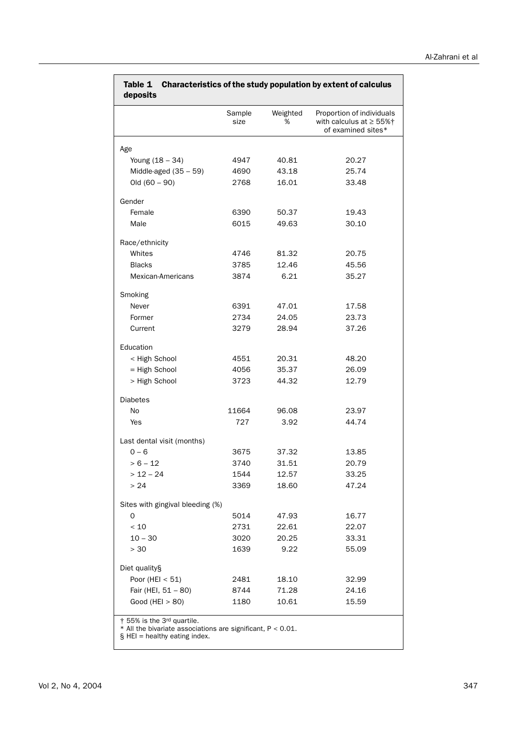|                                                                                                                                    | Sample<br>size | Weighted<br>% | Proportion of individuals<br>with calculus at $\geq$ 55% $\dagger$<br>of examined sites* |
|------------------------------------------------------------------------------------------------------------------------------------|----------------|---------------|------------------------------------------------------------------------------------------|
| Age                                                                                                                                |                |               |                                                                                          |
| Young (18 - 34)                                                                                                                    | 4947           | 40.81         | 20.27                                                                                    |
| Middle-aged $(35 - 59)$                                                                                                            | 4690           | 43.18         | 25.74                                                                                    |
| $Old (60 - 90)$                                                                                                                    | 2768           | 16.01         | 33.48                                                                                    |
| Gender                                                                                                                             |                |               |                                                                                          |
| Female                                                                                                                             | 6390           | 50.37         | 19.43                                                                                    |
| Male                                                                                                                               | 6015           | 49.63         | 30.10                                                                                    |
| Race/ethnicity                                                                                                                     |                |               |                                                                                          |
| Whites                                                                                                                             | 4746           | 81.32         | 20.75                                                                                    |
| <b>Blacks</b>                                                                                                                      | 3785           | 12.46         | 45.56                                                                                    |
| Mexican-Americans                                                                                                                  | 3874           | 6.21          | 35.27                                                                                    |
| Smoking                                                                                                                            |                |               |                                                                                          |
| Never                                                                                                                              | 6391           | 47.01         | 17.58                                                                                    |
| Former                                                                                                                             | 2734           | 24.05         | 23.73                                                                                    |
| Current                                                                                                                            | 3279           | 28.94         | 37.26                                                                                    |
| Education                                                                                                                          |                |               |                                                                                          |
| < High School                                                                                                                      | 4551           | 20.31         | 48.20                                                                                    |
| = High School                                                                                                                      | 4056           | 35.37         | 26.09                                                                                    |
| > High School                                                                                                                      | 3723           | 44.32         | 12.79                                                                                    |
| <b>Diabetes</b>                                                                                                                    |                |               |                                                                                          |
| No                                                                                                                                 | 11664          | 96.08         | 23.97                                                                                    |
| Yes                                                                                                                                | 727            | 3.92          | 44.74                                                                                    |
| Last dental visit (months)                                                                                                         |                |               |                                                                                          |
| $0 - 6$                                                                                                                            | 3675           | 37.32         | 13.85                                                                                    |
| $> 6 - 12$                                                                                                                         | 3740           | 31.51         | 20.79                                                                                    |
| $> 12 - 24$                                                                                                                        | 1544           | 12.57         | 33.25                                                                                    |
| >24                                                                                                                                | 3369           | 18.60         | 47.24                                                                                    |
| Sites with gingival bleeding (%)                                                                                                   |                |               |                                                                                          |
| 0                                                                                                                                  | 5014           | 47.93         | 16.77                                                                                    |
| $<10$                                                                                                                              | 2731           | 22.61         | 22.07                                                                                    |
| $10 - 30$                                                                                                                          | 3020           | 20.25         | 33.31                                                                                    |
| > 30                                                                                                                               | 1639           | 9.22          | 55.09                                                                                    |
| Diet quality§                                                                                                                      |                |               |                                                                                          |
| Poor (HEI $<$ 51)                                                                                                                  | 2481           | 18.10         | 32.99                                                                                    |
| Fair (HEI, 51 - 80)                                                                                                                | 8744           | 71.28         | 24.16                                                                                    |
| Good (HEI $> 80$ )                                                                                                                 | 1180           | 10.61         | 15.59                                                                                    |
| † 55% is the 3rd quartile.<br>$*$ All the bivariate associations are significant, $P < 0.01$ .<br>$\S$ HEI = healthy eating index. |                |               |                                                                                          |

# Table 1 Characteristics of the study population by extent of calculus

Vol 2, No 4, 2004 347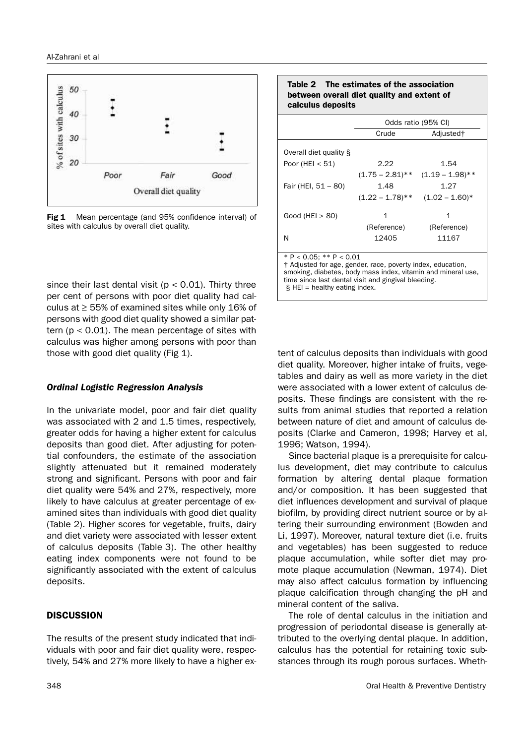

Fig 1 Mean percentage (and 95% confidence interval) of sites with calculus by overall diet quality.

since their last dental visit ( $p < 0.01$ ). Thirty three per cent of persons with poor diet quality had calculus at ≥ 55% of examined sites while only 16% of persons with good diet quality showed a similar pattern ( $p < 0.01$ ). The mean percentage of sites with calculus was higher among persons with poor than those with good diet quality (Fig 1).

#### *Ordinal Logistic Regression Analysis*

In the univariate model, poor and fair diet quality was associated with 2 and 1.5 times, respectively, greater odds for having a higher extent for calculus deposits than good diet. After adjusting for potential confounders, the estimate of the association slightly attenuated but it remained moderately strong and significant. Persons with poor and fair diet quality were 54% and 27%, respectively, more likely to have calculus at greater percentage of examined sites than individuals with good diet quality (Table 2). Higher scores for vegetable, fruits, dairy and diet variety were associated with lesser extent of calculus deposits (Table 3). The other healthy eating index components were not found to be significantly associated with the extent of calculus deposits.

#### **DISCUSSION**

The results of the present study indicated that individuals with poor and fair diet quality were, respectively, 54% and 27% more likely to have a higher ex-

#### Table 2 The estimates of the association between overall diet quality and extent of calculus deposits

|                                                                                                                                                                                                                     | Odds ratio (95% CI) |                       |  |
|---------------------------------------------------------------------------------------------------------------------------------------------------------------------------------------------------------------------|---------------------|-----------------------|--|
|                                                                                                                                                                                                                     | Crude               | Adjusted <sup>+</sup> |  |
| Overall diet quality §                                                                                                                                                                                              |                     |                       |  |
| Poor (HEI $< 51$ )                                                                                                                                                                                                  | 2.22                | 1.54                  |  |
|                                                                                                                                                                                                                     | $(1.75 - 2.81)$ **  | $(1.19 - 1.98)$ **    |  |
| Fair (HEI, 51 - 80)                                                                                                                                                                                                 | 1.48                | 1.27                  |  |
|                                                                                                                                                                                                                     | $(1.22 - 1.78)$ **  | $(1.02 - 1.60)^*$     |  |
| Good (HEI $> 80$ )                                                                                                                                                                                                  | 1                   | 1                     |  |
|                                                                                                                                                                                                                     | (Reference)         | (Reference)           |  |
| N                                                                                                                                                                                                                   | 12405               | 11167                 |  |
| $* P < 0.05$ : $* * P < 0.01$<br>† Adjusted for age, gender, race, poverty index, education,<br>smoking, diabetes, body mass index, vitamin and mineral use,<br>time since last dental visit and gingival bleeding. |                     |                       |  |

 $§$  HEI = healthy eating index.

tent of calculus deposits than individuals with good diet quality. Moreover, higher intake of fruits, vegetables and dairy as well as more variety in the diet were associated with a lower extent of calculus deposits. These findings are consistent with the results from animal studies that reported a relation between nature of diet and amount of calculus deposits (Clarke and Cameron, 1998; Harvey et al, 1996; Watson, 1994).

Since bacterial plaque is a prerequisite for calculus development, diet may contribute to calculus formation by altering dental plaque formation and/or composition. It has been suggested that diet influences development and survival of plaque biofilm, by providing direct nutrient source or by altering their surrounding environment (Bowden and Li, 1997). Moreover, natural texture diet (i.e. fruits and vegetables) has been suggested to reduce plaque accumulation, while softer diet may promote plaque accumulation (Newman, 1974). Diet may also affect calculus formation by influencing plaque calcification through changing the pH and mineral content of the saliva.

The role of dental calculus in the initiation and progression of periodontal disease is generally attributed to the overlying dental plaque. In addition, calculus has the potential for retaining toxic substances through its rough porous surfaces. Wheth